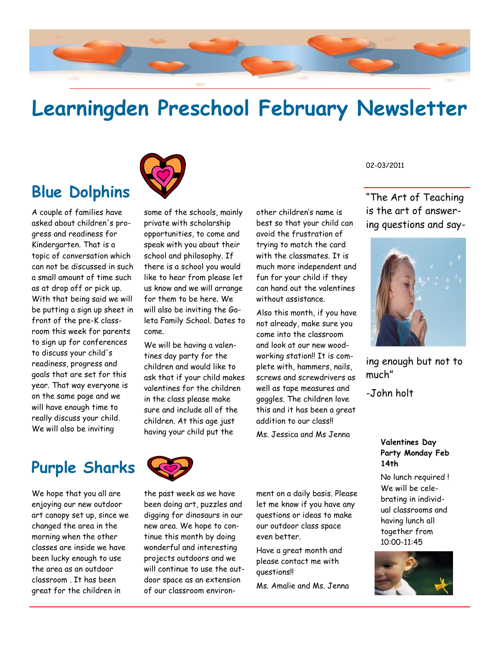

# **Learningden Preschool February Newsletter**



A couple of families have asked about children's progress and readiness for Kindergarten. That is a topic of conversation which can not be discussed in such a small amount of time such as at drop off or pick up. With that being said we will be putting a sign up sheet in front of the pre-K classroom this week for parents to sign up for conferences to discuss your child's readiness, progress and goals that are set for this year. That way everyone is on the same page and we will have enough time to really discuss your child. We will also be inviting

some of the schools, mainly private with scholarship opportunities, to come and speak with you about their school and philosophy. If there is a school you would like to hear from please let us know and we will arrange for them to be here. We will also be inviting the Goleta Family School. Dates to come.

We will be having a valentines day party for the children and would like to ask that if your child makes valentines for the children in the class please make sure and include all of the children. At this age just having your child put the

other children's name is best so that your child can avoid the frustration of trying to match the card with the classmates. It is much more independent and fun for your child if they can hand out the valentines without assistance.

Also this month, if you have not already, make sure you come into the classroom and look at our new woodworking station!! It is complete with, hammers, nails, screws and screwdrivers as well as tape measures and goggles. The children love this and it has been a great addition to our class!!

Ms. Jessica and Ms Jenna

02-03/2011

"The Art of Teaching is the art of answering questions and say-



ing enough but not to much"

-John holt

#### **Valentines Day Party Monday Feb 14th**

No lunch required ! We will be celebrating in individual classrooms and having lunch all together from 10:00-11:45



**Purple Sharks** 

We hope that you all are enjoying our new outdoor art canopy set up, since we changed the area in the morning when the other classes are inside we have been lucky enough to use the area as an outdoor classroom . It has been great for the children in



the past week as we have been doing art, puzzles and digging for dinosaurs in our new area. We hope to continue this month by doing wonderful and interesting projects outdoors and we will continue to use the outdoor space as an extension of our classroom environ-

ment on a daily basis. Please let me know if you have any questions or ideas to make our outdoor class space even better.

Have a great month and please contact me with questions!!

Ms. Amalie and Ms. Jenna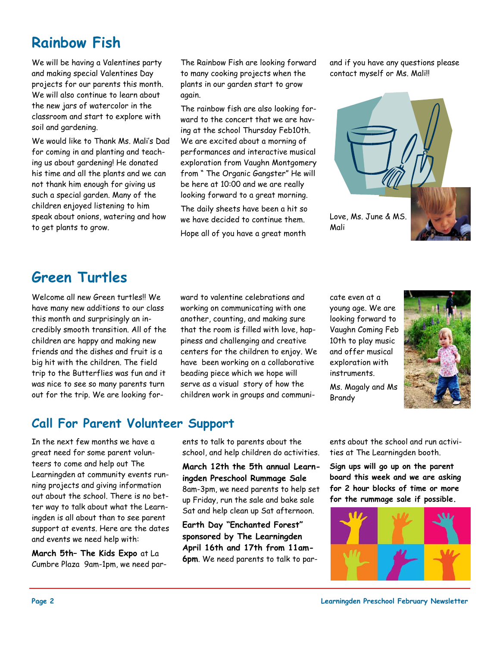# **Rainbow Fish**

We will be having a Valentines party and making special Valentines Day projects for our parents this month. We will also continue to learn about the new jars of watercolor in the classroom and start to explore with soil and gardening.

We would like to Thank Ms. Mali's Dad for coming in and planting and teaching us about gardening! He donated his time and all the plants and we can not thank him enough for giving us such a special garden. Many of the children enjoyed listening to him speak about onions, watering and how to get plants to grow.

The Rainbow Fish are looking forward to many cooking projects when the plants in our garden start to grow again.

The rainbow fish are also looking forward to the concert that we are having at the school Thursday Feb10th. We are excited about a morning of performances and interactive musical exploration from Vaughn Montgomery from " The Organic Gangster" He will be here at 10:00 and we are really looking forward to a great morning.

The daily sheets have been a hit so we have decided to continue them. Hope all of you have a great month

and if you have any questions please contact myself or Ms. Mali!!



## **Green Turtles**

Welcome all new Green turtles!! We have many new additions to our class this month and surprisingly an incredibly smooth transition. All of the children are happy and making new friends and the dishes and fruit is a big hit with the children. The field trip to the Butterflies was fun and it was nice to see so many parents turn out for the trip. We are looking for-

#### **Call For Parent Volunteer Support**

In the next few months we have a great need for some parent volunteers to come and help out The Learningden at community events running projects and giving information out about the school. There is no better way to talk about what the Learningden is all about than to see parent support at events. Here are the dates and events we need help with:

**March 5th– The Kids Expo** at La Cumbre Plaza 9am-1pm, we need parward to valentine celebrations and working on communicating with one another, counting, and making sure that the room is filled with love, happiness and challenging and creative centers for the children to enjoy. We have been working on a collaborative beading piece which we hope will serve as a visual story of how the children work in groups and communicate even at a young age. We are looking forward to Vaughn Coming Feb 10th to play music and offer musical exploration with instruments.

Ms. Magaly and Ms Brandy



ents to talk to parents about the school, and help children do activities.

**March 12th the 5th annual Learningden Preschool Rummage Sale**  8am-3pm, we need parents to help set up Friday, run the sale and bake sale Sat and help clean up Sat afternoon.

**Earth Day "Enchanted Forest" sponsored by The Learningden April 16th and 17th from 11am-6pm**. We need parents to talk to parents about the school and run activities at The Learningden booth.

**Sign ups will go up on the parent board this week and we are asking for 2 hour blocks of time or more for the rummage sale if possible.**